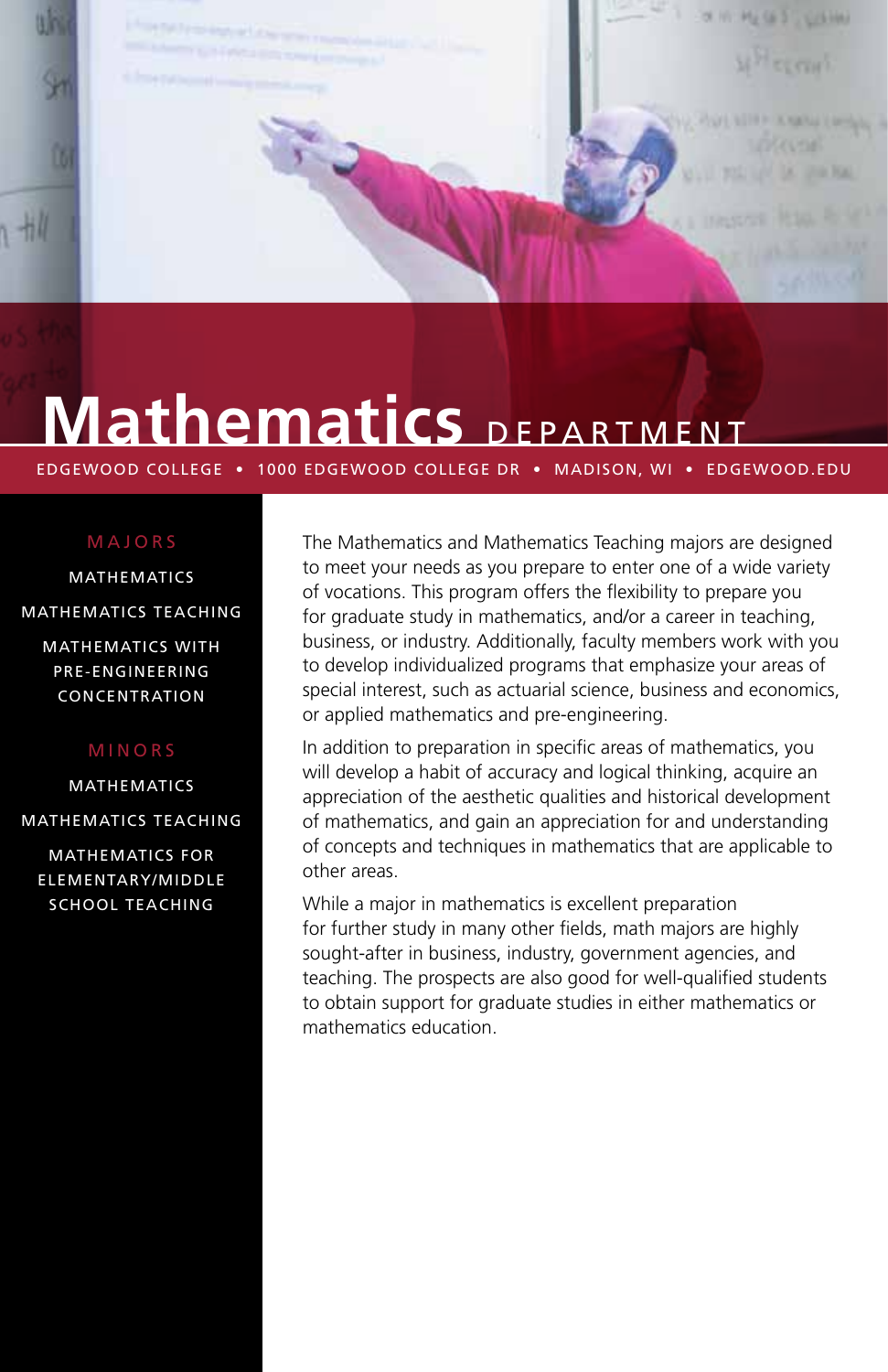

# **Mathematics** DEPARTMENT

EDGEWOOD COLLEGE • 1000 EDGEWOOD COLLEGE DR • MADISON, WI • EDGEWOOD.EDU

#### MAJORS

MATHEMATICS MATHEMATICS TEACHING

MATHEMATICS WITH PRE-ENGINEERING CONCENTRATION

#### MINORS

MATHEMATICS MATHEMATICS TEACHING

MATHEMATICS FOR ELEMENTARY/MIDDLE SCHOOL TEACHING

The Mathematics and Mathematics Teaching majors are designed to meet your needs as you prepare to enter one of a wide variety of vocations. This program offers the flexibility to prepare you for graduate study in mathematics, and/or a career in teaching, business, or industry. Additionally, faculty members work with you to develop individualized programs that emphasize your areas of special interest, such as actuarial science, business and economics, or applied mathematics and pre-engineering.

In addition to preparation in specific areas of mathematics, you will develop a habit of accuracy and logical thinking, acquire an appreciation of the aesthetic qualities and historical development of mathematics, and gain an appreciation for and understanding of concepts and techniques in mathematics that are applicable to other areas.

While a major in mathematics is excellent preparation for further study in many other fields, math majors are highly sought-after in business, industry, government agencies, and teaching. The prospects are also good for well-qualified students to obtain support for graduate studies in either mathematics or mathematics education.